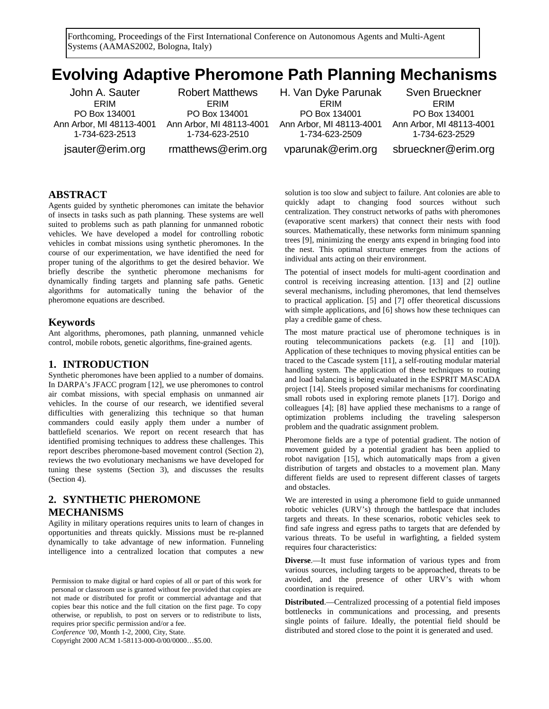Forthcoming, Proceedings of the First International Conference on Autonomous Agents and Multi-Agent Systems (AAMAS2002, Bologna, Italy)

# **Evolving Adaptive Pheromone Path Planning Mechanisms**

John A. Sauter ERIM PO Box 134001 Ann Arbor, MI 48113-4001 1-734-623-2513

jsauter@erim.org

Robert Matthews ERIM PO Box 134001 Ann Arbor, MI 48113-4001 1-734-623-2510 rmatthews@erim.org

H. Van Dyke Parunak ERIM PO Box 134001 Ann Arbor, MI 48113-4001 1-734-623-2509

Sven Brueckner ERIM PO Box 134001 Ann Arbor, MI 48113-4001 1-734-623-2529

vparunak@erim.org

sbrueckner@erim.org

## **ABSTRACT**

Agents guided by synthetic pheromones can imitate the behavior of insects in tasks such as path planning. These systems are well suited to problems such as path planning for unmanned robotic vehicles. We have developed a model for controlling robotic vehicles in combat missions using synthetic pheromones. In the course of our experimentation, we have identified the need for proper tuning of the algorithms to get the desired behavior. We briefly describe the synthetic pheromone mechanisms for dynamically finding targets and planning safe paths. Genetic algorithms for automatically tuning the behavior of the pheromone equations are described.

#### **Keywords**

Ant algorithms, pheromones, path planning, unmanned vehicle control, mobile robots, genetic algorithms, fine-grained agents.

# **1. INTRODUCTION**

Synthetic pheromones have been applied to a number of domains. In DARPA's JFACC program [12], we use pheromones to control air combat missions, with special emphasis on unmanned air vehicles. In the course of our research, we identified several difficulties with generalizing this technique so that human commanders could easily apply them under a number of battlefield scenarios. We report on recent research that has identified promising techniques to address these challenges. This report describes pheromone-based movement control (Section 2), reviews the two evolutionary mechanisms we have developed for tuning these systems (Section 3), and discusses the results (Section 4).

# **2. SYNTHETIC PHEROMONE MECHANISMS**

Agility in military operations requires units to learn of changes in opportunities and threats quickly. Missions must be re-planned dynamically to take advantage of new information. Funneling intelligence into a centralized location that computes a new

Permission to make digital or hard copies of all or part of this work for personal or classroom use is granted without fee provided that copies are not made or distributed for profit or commercial advantage and that copies bear this notice and the full citation on the first page. To copy otherwise, or republish, to post on servers or to redistribute to lists, requires prior specific permission and/or a fee.

*Conference '00*, Month 1-2, 2000, City, State.

Copyright 2000 ACM 1-58113-000-0/00/0000…\$5.00.

solution is too slow and subject to failure. Ant colonies are able to quickly adapt to changing food sources without such centralization. They construct networks of paths with pheromones (evaporative scent markers) that connect their nests with food sources. Mathematically, these networks form minimum spanning trees [9], minimizing the energy ants expend in bringing food into the nest. This optimal structure emerges from the actions of individual ants acting on their environment.

The potential of insect models for multi-agent coordination and control is receiving increasing attention. [13] and [2] outline several mechanisms, including pheromones, that lend themselves to practical application. [5] and [7] offer theoretical discussions with simple applications, and [6] shows how these techniques can play a credible game of chess.

The most mature practical use of pheromone techniques is in routing telecommunications packets (e.g. [1] and [10]). Application of these techniques to moving physical entities can be traced to the Cascade system [11], a self-routing modular material handling system. The application of these techniques to routing and load balancing is being evaluated in the ESPRIT MASCADA project [14]. Steels proposed similar mechanisms for coordinating small robots used in exploring remote planets [17]. Dorigo and colleagues [4]; [8] have applied these mechanisms to a range of optimization problems including the traveling salesperson problem and the quadratic assignment problem.

Pheromone fields are a type of potential gradient. The notion of movement guided by a potential gradient has been applied to robot navigation [15], which automatically maps from a given distribution of targets and obstacles to a movement plan. Many different fields are used to represent different classes of targets and obstacles.

We are interested in using a pheromone field to guide unmanned robotic vehicles (URV's) through the battlespace that includes targets and threats. In these scenarios, robotic vehicles seek to find safe ingress and egress paths to targets that are defended by various threats. To be useful in warfighting, a fielded system requires four characteristics:

**Diverse**.—It must fuse information of various types and from various sources, including targets to be approached, threats to be avoided, and the presence of other URV's with whom coordination is required.

**Distributed**.—Centralized processing of a potential field imposes bottlenecks in communications and processing, and presents single points of failure. Ideally, the potential field should be distributed and stored close to the point it is generated and used.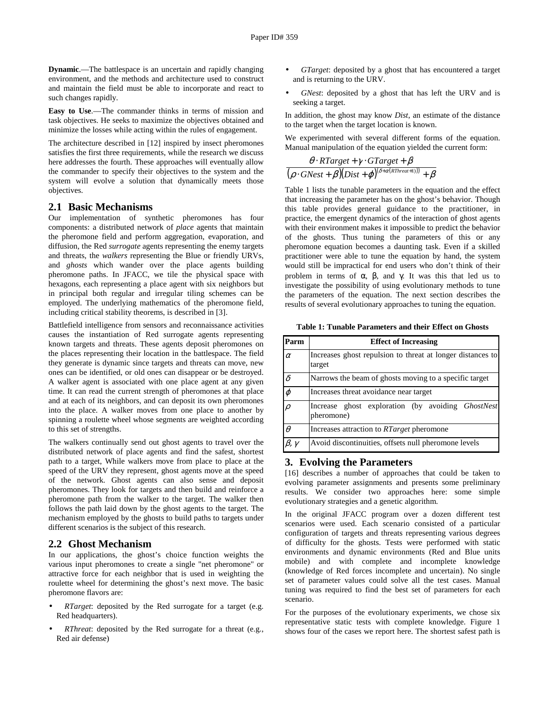**Dynamic**.—The battlespace is an uncertain and rapidly changing environment, and the methods and architecture used to construct and maintain the field must be able to incorporate and react to such changes rapidly.

**Easy to Use**.—The commander thinks in terms of mission and task objectives. He seeks to maximize the objectives obtained and minimize the losses while acting within the rules of engagement.

The architecture described in [12] inspired by insect pheromones satisfies the first three requirements, while the research we discuss here addresses the fourth. These approaches will eventually allow the commander to specify their objectives to the system and the system will evolve a solution that dynamically meets those objectives.

#### **2.1 Basic Mechanisms**

Our implementation of synthetic pheromones has four components: a distributed network of *place* agents that maintain the pheromone field and perform aggregation, evaporation, and diffusion, the Red *surrogate* agents representing the enemy targets and threats, the *walkers* representing the Blue or friendly URVs, and *ghosts* which wander over the place agents building pheromone paths. In JFACC, we tile the physical space with hexagons, each representing a place agent with six neighbors but in principal both regular and irregular tiling schemes can be employed. The underlying mathematics of the pheromone field, including critical stability theorems, is described in [3].

Battlefield intelligence from sensors and reconnaissance activities causes the instantiation of Red surrogate agents representing known targets and threats. These agents deposit pheromones on the places representing their location in the battlespace. The field they generate is dynamic since targets and threats can move, new ones can be identified, or old ones can disappear or be destroyed. A walker agent is associated with one place agent at any given time. It can read the current strength of pheromones at that place and at each of its neighbors, and can deposit its own pheromones into the place. A walker moves from one place to another by spinning a roulette wheel whose segments are weighted according to this set of strengths.

The walkers continually send out ghost agents to travel over the distributed network of place agents and find the safest, shortest path to a target, While walkers move from place to place at the speed of the URV they represent, ghost agents move at the speed of the network. Ghost agents can also sense and deposit pheromones. They look for targets and then build and reinforce a pheromone path from the walker to the target. The walker then follows the path laid down by the ghost agents to the target. The mechanism employed by the ghosts to build paths to targets under different scenarios is the subject of this research.

#### **2.2 Ghost Mechanism**

In our applications, the ghost's choice function weights the various input pheromones to create a single "net pheromone" or attractive force for each neighbor that is used in weighting the roulette wheel for determining the ghost's next move. The basic pheromone flavors are:

- *RTarget*: deposited by the Red surrogate for a target (e.g. Red headquarters).
- *RThreat*: deposited by the Red surrogate for a threat (e.g., Red air defense)
- *GTarget*: deposited by a ghost that has encountered a target and is returning to the URV.
- *GNest*: deposited by a ghost that has left the URV and is seeking a target.

In addition, the ghost may know *Dist*, an estimate of the distance to the target when the target location is known.

We experimented with several different forms of the equation. Manual manipulation of the equation yielded the current form:

$$
\frac{\theta \cdot RTarget + \gamma \cdot GTarget + \beta}{(\rho \cdot GNest + \beta)(Dist + \varphi)^{(\delta + \alpha(RThreat + 1)))} + \beta}
$$

Table 1 lists the tunable parameters in the equation and the effect that increasing the parameter has on the ghost's behavior. Though this table provides general guidance to the practitioner, in practice, the emergent dynamics of the interaction of ghost agents with their environment makes it impossible to predict the behavior of the ghosts. Thus tuning the parameters of this or any pheromone equation becomes a daunting task. Even if a skilled practitioner were able to tune the equation by hand, the system would still be impractical for end users who don't think of their problem in terms of α, β, and γ. It was this that led us to investigate the possibility of using evolutionary methods to tune the parameters of the equation. The next section describes the results of several evolutionary approaches to tuning the equation.

**Table 1: Tunable Parameters and their Effect on Ghosts** 

| Parm               | <b>Effect of Increasing</b>                                            |  |  |  |  |  |  |  |  |  |
|--------------------|------------------------------------------------------------------------|--|--|--|--|--|--|--|--|--|
| $\alpha$           | Increases ghost repulsion to threat at longer distances to<br>target   |  |  |  |  |  |  |  |  |  |
| $\delta$           | Narrows the beam of ghosts moving to a specific target                 |  |  |  |  |  |  |  |  |  |
| $\varphi$          | Increases threat avoidance near target                                 |  |  |  |  |  |  |  |  |  |
|                    | Increase ghost exploration (by avoiding <i>GhostNest</i><br>pheromone) |  |  |  |  |  |  |  |  |  |
| $\theta$           | Increases attraction to <i>RTarget</i> pheromone                       |  |  |  |  |  |  |  |  |  |
| $\beta$ , $\gamma$ | Avoid discontinuities, offsets null pheromone levels                   |  |  |  |  |  |  |  |  |  |

#### **3. Evolving the Parameters**

[16] describes a number of approaches that could be taken to evolving parameter assignments and presents some preliminary results. We consider two approaches here: some simple evolutionary strategies and a genetic algorithm.

In the original JFACC program over a dozen different test scenarios were used. Each scenario consisted of a particular configuration of targets and threats representing various degrees of difficulty for the ghosts. Tests were performed with static environments and dynamic environments (Red and Blue units mobile) and with complete and incomplete knowledge (knowledge of Red forces incomplete and uncertain). No single set of parameter values could solve all the test cases. Manual tuning was required to find the best set of parameters for each scenario.

For the purposes of the evolutionary experiments, we chose six representative static tests with complete knowledge. Figure 1 shows four of the cases we report here. The shortest safest path is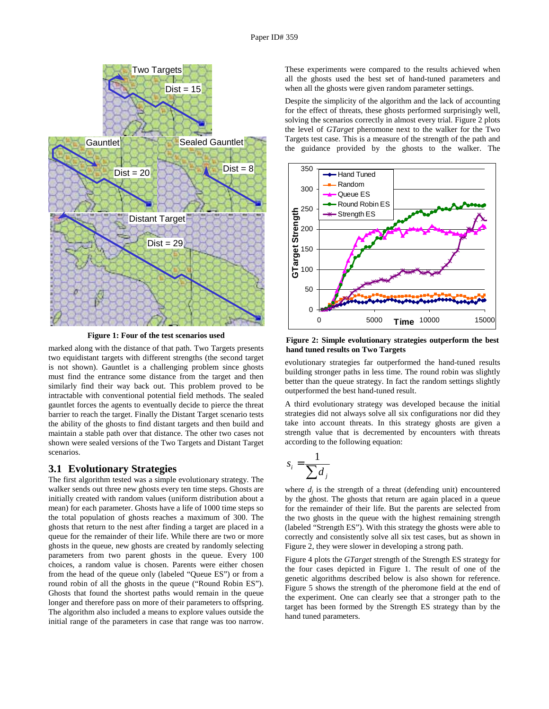

**Figure 1: Four of the test scenarios used** 

marked along with the distance of that path. Two Targets presents two equidistant targets with different strengths (the second target is not shown). Gauntlet is a challenging problem since ghosts must find the entrance some distance from the target and then similarly find their way back out. This problem proved to be intractable with conventional potential field methods. The sealed gauntlet forces the agents to eventually decide to pierce the threat barrier to reach the target. Finally the Distant Target scenario tests the ability of the ghosts to find distant targets and then build and maintain a stable path over that distance. The other two cases not shown were sealed versions of the Two Targets and Distant Target scenarios.

#### **3.1 Evolutionary Strategies**

The first algorithm tested was a simple evolutionary strategy. The walker sends out three new ghosts every ten time steps. Ghosts are initially created with random values (uniform distribution about a mean) for each parameter. Ghosts have a life of 1000 time steps so the total population of ghosts reaches a maximum of 300. The ghosts that return to the nest after finding a target are placed in a queue for the remainder of their life. While there are two or more ghosts in the queue, new ghosts are created by randomly selecting parameters from two parent ghosts in the queue. Every 100 choices, a random value is chosen. Parents were either chosen from the head of the queue only (labeled "Queue ES") or from a round robin of all the ghosts in the queue ("Round Robin ES"). Ghosts that found the shortest paths would remain in the queue longer and therefore pass on more of their parameters to offspring. The algorithm also included a means to explore values outside the initial range of the parameters in case that range was too narrow.

These experiments were compared to the results achieved when all the ghosts used the best set of hand-tuned parameters and when all the ghosts were given random parameter settings.

Despite the simplicity of the algorithm and the lack of accounting for the effect of threats, these ghosts performed surprisingly well, solving the scenarios correctly in almost every trial. Figure 2 plots the level of *GTarget* pheromone next to the walker for the Two Targets test case. This is a measure of the strength of the path and the guidance provided by the ghosts to the walker. The



**Figure 2: Simple evolutionary strategies outperform the best hand tuned results on Two Targets** 

evolutionary strategies far outperformed the hand-tuned results building stronger paths in less time. The round robin was slightly better than the queue strategy. In fact the random settings slightly outperformed the best hand-tuned result.

A third evolutionary strategy was developed because the initial strategies did not always solve all six configurations nor did they take into account threats. In this strategy ghosts are given a strength value that is decremented by encounters with threats according to the following equation:

$$
s_i = \frac{1}{\sum d_j}
$$

where  $d_i$  is the strength of a threat (defending unit) encountered by the ghost. The ghosts that return are again placed in a queue for the remainder of their life. But the parents are selected from the two ghosts in the queue with the highest remaining strength (labeled "Strength ES"). With this strategy the ghosts were able to correctly and consistently solve all six test cases, but as shown in Figure 2, they were slower in developing a strong path.

Figure 4 plots the *GTarget* strength of the Strength ES strategy for the four cases depicted in Figure 1. The result of one of the genetic algorithms described below is also shown for reference. Figure 5 shows the strength of the pheromone field at the end of the experiment. One can clearly see that a stronger path to the target has been formed by the Strength ES strategy than by the hand tuned parameters.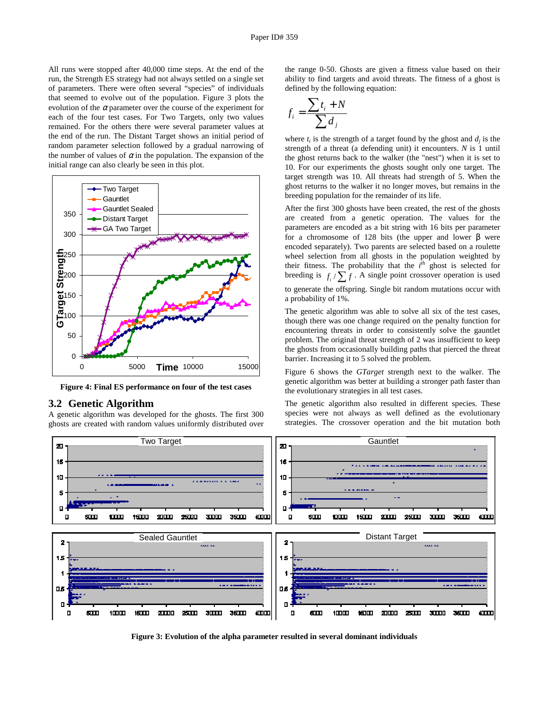All runs were stopped after 40,000 time steps. At the end of the run, the Strength ES strategy had not always settled on a single set of parameters. There were often several "species" of individuals that seemed to evolve out of the population. Figure 3 plots the evolution of the  $\alpha$  parameter over the course of the experiment for each of the four test cases. For Two Targets, only two values remained. For the others there were several parameter values at the end of the run. The Distant Target shows an initial period of random parameter selection followed by a gradual narrowing of the number of values of  $\alpha$  in the population. The expansion of the initial range can also clearly be seen in this plot.



**Figure 4: Final ES performance on four of the test cases** 

#### **3.2 Genetic Algorithm**

A genetic algorithm was developed for the ghosts. The first 300 ghosts are created with random values uniformly distributed over the range 0-50. Ghosts are given a fitness value based on their ability to find targets and avoid threats. The fitness of a ghost is defined by the following equation:

$$
f_i = \frac{\sum t_i + N}{\sum d_j}
$$

where  $t_i$  is the strength of a target found by the ghost and  $d_i$  is the strength of a threat (a defending unit) it encounters. *N* is 1 until the ghost returns back to the walker (the "nest") when it is set to 10. For our experiments the ghosts sought only one target. The target strength was 10. All threats had strength of 5. When the ghost returns to the walker it no longer moves, but remains in the breeding population for the remainder of its life.

After the first 300 ghosts have been created, the rest of the ghosts are created from a genetic operation. The values for the parameters are encoded as a bit string with 16 bits per parameter for a chromosome of 128 bits (the upper and lower β were encoded separately). Two parents are selected based on a roulette wheel selection from all ghosts in the population weighted by their fitness. The probability that the  $i^{th}$  ghost is selected for breeding is  $f_i / \sum f$ . A single point crossover operation is used

to generate the offspring. Single bit random mutations occur with a probability of 1%.

The genetic algorithm was able to solve all six of the test cases, though there was one change required on the penalty function for encountering threats in order to consistently solve the gauntlet problem. The original threat strength of 2 was insufficient to keep the ghosts from occasionally building paths that pierced the threat barrier. Increasing it to 5 solved the problem.

Figure 6 shows the *GTarget* strength next to the walker. The genetic algorithm was better at building a stronger path faster than the evolutionary strategies in all test cases.

The genetic algorithm also resulted in different species. These species were not always as well defined as the evolutionary strategies. The crossover operation and the bit mutation both



**Figure 3: Evolution of the alpha parameter resulted in several dominant individuals**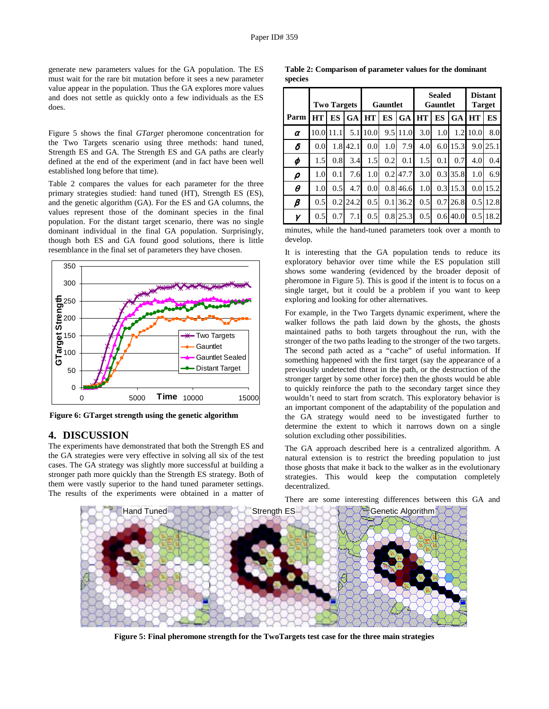generate new parameters values for the GA population. The ES must wait for the rare bit mutation before it sees a new parameter value appear in the population. Thus the GA explores more values and does not settle as quickly onto a few individuals as the ES does.

Figure 5 shows the final *GTarget* pheromone concentration for the Two Targets scenario using three methods: hand tuned, Strength ES and GA. The Strength ES and GA paths are clearly defined at the end of the experiment (and in fact have been well established long before that time).

Table 2 compares the values for each parameter for the three primary strategies studied: hand tuned (HT), Strength ES (ES), and the genetic algorithm (GA). For the ES and GA columns, the values represent those of the dominant species in the final population. For the distant target scenario, there was no single dominant individual in the final GA population. Surprisingly, though both ES and GA found good solutions, there is little resemblance in the final set of parameters they have chosen.



**Figure 6: GTarget strength using the genetic algorithm** 

#### **4. DISCUSSION**

The experiments have demonstrated that both the Strength ES and the GA strategies were very effective in solving all six of the test cases. The GA strategy was slightly more successful at building a stronger path more quickly than the Strength ES strategy. Both of them were vastly superior to the hand tuned parameter settings. The results of the experiments were obtained in a matter of

**Table 2: Comparison of parameter values for the dominant species** 

|          | <b>Two Targets</b> |      |           | Gauntlet         |     |           | <b>Sealed</b><br><b>Gauntlet</b> |                  |           | <b>Distant</b><br><b>Target</b> |            |
|----------|--------------------|------|-----------|------------------|-----|-----------|----------------------------------|------------------|-----------|---------------------------------|------------|
| Parm     | HT                 | ES   | <b>GA</b> | <b>HT</b>        | ES  | <b>GA</b> | <b>HT</b>                        | ES               | <b>GA</b> | <b>HT</b>                       | ES         |
| $\alpha$ | 10.0               | 11.1 | 5.1       | 10.0             |     | 9.5 11.0  | 3.0                              | 1.0              | 1.2       | 10.0                            | 8.0        |
| δ        | 0.0                | 1.8  | 42.1      | 0.0 <sub>l</sub> | 1.0 | 7.9       | 4.0                              | 6.0 <sub>l</sub> | 15.3      |                                 | 9.0125.1   |
| φ        | 1.5                | 0.8  | 3.4       | 1.5              | 0.2 | 0.1       | 1.5                              | 0.1              | 0.7       | 4.0                             | 0.4        |
| ρ        | 1.0                | 0.1  | 7.6       | 1.0              | 0.2 | 47.7      | 3.0                              |                  | 0.3135.8  | 1.0 <sub>l</sub>                | 6.9        |
| $\theta$ | 1.0                | 0.5  | 4.7       | 0.0 <sub>l</sub> | 0.8 | 46.6      | 1.0                              | 0.31             | 15.3      |                                 | $0.0$ 15.2 |
| β        | 0.5                | 0.2  | 24.2      | 0.5              | 0.1 | 36.2      | 0.5                              | 0.7              | 26.8      | 0.5 <sub>1</sub>                | 12.8       |
| γ        | 0.5                | 0.7  | 7.1       | 0.5              |     | 0.8125.3  | 0.5                              | 0.6 <sub>l</sub> | 40.0      |                                 | 0.5118.2   |

minutes, while the hand-tuned parameters took over a month to develop.

It is interesting that the GA population tends to reduce its exploratory behavior over time while the ES population still shows some wandering (evidenced by the broader deposit of pheromone in Figure 5). This is good if the intent is to focus on a single target, but it could be a problem if you want to keep exploring and looking for other alternatives.

For example, in the Two Targets dynamic experiment, where the walker follows the path laid down by the ghosts, the ghosts maintained paths to both targets throughout the run, with the stronger of the two paths leading to the stronger of the two targets. The second path acted as a "cache" of useful information. If something happened with the first target (say the appearance of a previously undetected threat in the path, or the destruction of the stronger target by some other force) then the ghosts would be able to quickly reinforce the path to the secondary target since they wouldn't need to start from scratch. This exploratory behavior is an important component of the adaptability of the population and the GA strategy would need to be investigated further to determine the extent to which it narrows down on a single solution excluding other possibilities.

The GA approach described here is a centralized algorithm. A natural extension is to restrict the breeding population to just those ghosts that make it back to the walker as in the evolutionary strategies. This would keep the computation completely decentralized.

There are some interesting differences between this GA and



**Figure 5: Final pheromone strength for the TwoTargets test case for the three main strategies**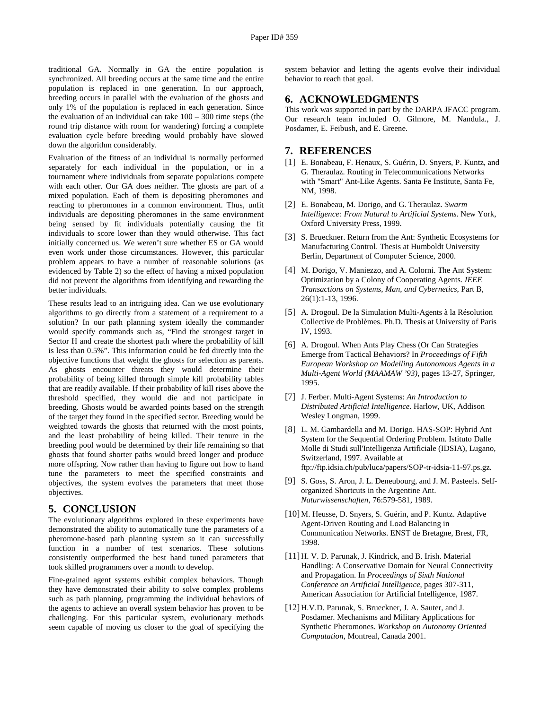traditional GA. Normally in GA the entire population is synchronized. All breeding occurs at the same time and the entire population is replaced in one generation. In our approach, breeding occurs in parallel with the evaluation of the ghosts and only 1% of the population is replaced in each generation. Since the evaluation of an individual can take 100 – 300 time steps (the round trip distance with room for wandering) forcing a complete evaluation cycle before breeding would probably have slowed down the algorithm considerably.

Evaluation of the fitness of an individual is normally performed separately for each individual in the population, or in a tournament where individuals from separate populations compete with each other. Our GA does neither. The ghosts are part of a mixed population. Each of them is depositing pheromones and reacting to pheromones in a common environment. Thus, unfit individuals are depositing pheromones in the same environment being sensed by fit individuals potentially causing the fit individuals to score lower than they would otherwise. This fact initially concerned us. We weren't sure whether ES or GA would even work under those circumstances. However, this particular problem appears to have a number of reasonable solutions (as evidenced by Table 2) so the effect of having a mixed population did not prevent the algorithms from identifying and rewarding the better individuals.

These results lead to an intriguing idea. Can we use evolutionary algorithms to go directly from a statement of a requirement to a solution? In our path planning system ideally the commander would specify commands such as, "Find the strongest target in Sector H and create the shortest path where the probability of kill is less than 0.5%". This information could be fed directly into the objective functions that weight the ghosts for selection as parents. As ghosts encounter threats they would determine their probability of being killed through simple kill probability tables that are readily available. If their probability of kill rises above the threshold specified, they would die and not participate in breeding. Ghosts would be awarded points based on the strength of the target they found in the specified sector. Breeding would be weighted towards the ghosts that returned with the most points, and the least probability of being killed. Their tenure in the breeding pool would be determined by their life remaining so that ghosts that found shorter paths would breed longer and produce more offspring. Now rather than having to figure out how to hand tune the parameters to meet the specified constraints and objectives, the system evolves the parameters that meet those objectives.

## **5. CONCLUSION**

The evolutionary algorithms explored in these experiments have demonstrated the ability to automatically tune the parameters of a pheromone-based path planning system so it can successfully function in a number of test scenarios. These solutions consistently outperformed the best hand tuned parameters that took skilled programmers over a month to develop.

Fine-grained agent systems exhibit complex behaviors. Though they have demonstrated their ability to solve complex problems such as path planning, programming the individual behaviors of the agents to achieve an overall system behavior has proven to be challenging. For this particular system, evolutionary methods seem capable of moving us closer to the goal of specifying the

system behavior and letting the agents evolve their individual behavior to reach that goal.

# **6. ACKNOWLEDGMENTS**

This work was supported in part by the DARPA JFACC program. Our research team included O. Gilmore, M. Nandula., J. Posdamer, E. Feibush, and E. Greene.

#### **7. REFERENCES**

- [1] E. Bonabeau, F. Henaux, S. Guérin, D. Snyers, P. Kuntz, and G. Theraulaz. Routing in Telecommunications Networks with "Smart" Ant-Like Agents. Santa Fe Institute, Santa Fe, NM, 1998.
- [2] E. Bonabeau, M. Dorigo, and G. Theraulaz. *Swarm Intelligence: From Natural to Artificial Systems*. New York, Oxford University Press, 1999.
- [3] S. Brueckner. Return from the Ant: Synthetic Ecosystems for Manufacturing Control. Thesis at Humboldt University Berlin, Department of Computer Science, 2000.
- [4] M. Dorigo, V. Maniezzo, and A. Colorni. The Ant System: Optimization by a Colony of Cooperating Agents. *IEEE Transactions on Systems, Man, and Cybernetics*, Part B, 26(1):1-13, 1996.
- [5] A. Drogoul. De la Simulation Multi-Agents à la Résolution Collective de Problèmes. Ph.D. Thesis at University of Paris IV, 1993.
- [6] A. Drogoul. When Ants Play Chess (Or Can Strategies Emerge from Tactical Behaviors? In *Proceedings of Fifth European Workshop on Modelling Autonomous Agents in a Multi-Agent World (MAAMAW '93),* pages 13-27, Springer, 1995.
- [7] J. Ferber. Multi-Agent Systems: *An Introduction to Distributed Artificial Intelligence*. Harlow, UK, Addison Wesley Longman, 1999.
- [8] L. M. Gambardella and M. Dorigo. HAS-SOP: Hybrid Ant System for the Sequential Ordering Problem. Istituto Dalle Molle di Studi sull'Intelligenza Artificiale (IDSIA), Lugano, Switzerland, 1997. Available at ftp://ftp.idsia.ch/pub/luca/papers/SOP-tr-idsia-11-97.ps.gz.
- [9] S. Goss, S. Aron, J. L. Deneubourg, and J. M. Pasteels. Selforganized Shortcuts in the Argentine Ant. *Naturwissenschaften*, 76:579-581, 1989.
- [10] M. Heusse, D. Snyers, S. Guérin, and P. Kuntz. Adaptive Agent-Driven Routing and Load Balancing in Communication Networks. ENST de Bretagne, Brest, FR, 1998.
- [11] H. V. D. Parunak, J. Kindrick, and B. Irish. Material Handling: A Conservative Domain for Neural Connectivity and Propagation. In *Proceedings of Sixth National Conference on Artificial Intelligence*, pages 307-311, American Association for Artificial Intelligence, 1987.
- [12] H.V.D. Parunak, S. Brueckner, J. A. Sauter, and J. Posdamer. Mechanisms and Military Applications for Synthetic Pheromones. *Workshop on Autonomy Oriented Computation*, Montreal, Canada 2001.